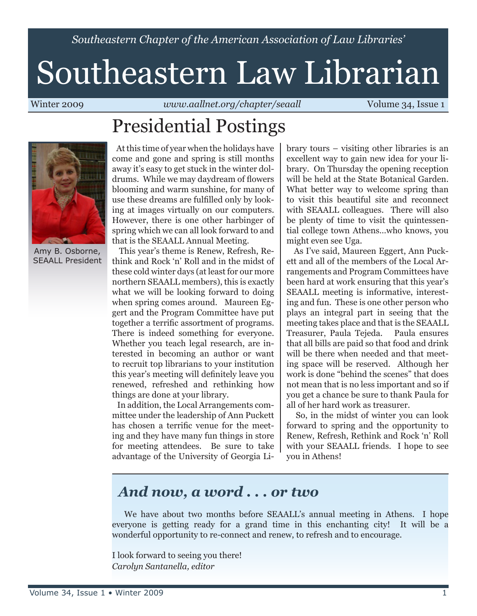*Southeastern Chapter of the American Association of Law Libraries'*

# Southeastern Law Librarian

Winter 2009 *www.aallnet.org/chapter/seaall* Volume 34, Issue 1

## Presidential Postings



Amy B. Osborne, SEAALL President

 At this time of year when the holidays have come and gone and spring is still months away it's easy to get stuck in the winter doldrums. While we may daydream of flowers blooming and warm sunshine, for many of use these dreams are fulfilled only by looking at images virtually on our computers. However, there is one other harbinger of spring which we can all look forward to and that is the SEAALL Annual Meeting.

 This year's theme is Renew, Refresh, Rethink and Rock 'n' Roll and in the midst of these cold winter days (at least for our more northern SEAALL members), this is exactly what we will be looking forward to doing when spring comes around. Maureen Eggert and the Program Committee have put together a terrific assortment of programs. There is indeed something for everyone. Whether you teach legal research, are interested in becoming an author or want to recruit top librarians to your institution this year's meeting will definitely leave you renewed, refreshed and rethinking how things are done at your library.

 In addition, the Local Arrangements committee under the leadership of Ann Puckett has chosen a terrific venue for the meeting and they have many fun things in store for meeting attendees. Be sure to take advantage of the University of Georgia Library tours – visiting other libraries is an excellent way to gain new idea for your library. On Thursday the opening reception will be held at the State Botanical Garden. What better way to welcome spring than to visit this beautiful site and reconnect with SEAALL colleagues. There will also be plenty of time to visit the quintessential college town Athens…who knows, you might even see Uga.

 As I've said, Maureen Eggert, Ann Puckett and all of the members of the Local Arrangements and Program Committees have been hard at work ensuring that this year's SEAALL meeting is informative, interesting and fun. These is one other person who plays an integral part in seeing that the meeting takes place and that is the SEAALL Treasurer, Paula Tejeda. Paula ensures that all bills are paid so that food and drink will be there when needed and that meeting space will be reserved. Although her work is done "behind the scenes" that does not mean that is no less important and so if you get a chance be sure to thank Paula for all of her hard work as treasurer.

 So, in the midst of winter you can look forward to spring and the opportunity to Renew, Refresh, Rethink and Rock 'n' Roll with your SEAALL friends. I hope to see you in Athens!

### *And now, a word . . . or two*

 We have about two months before SEAALL's annual meeting in Athens. I hope everyone is getting ready for a grand time in this enchanting city! It will be a wonderful opportunity to re-connect and renew, to refresh and to encourage.

I look forward to seeing you there! *Carolyn Santanella, editor*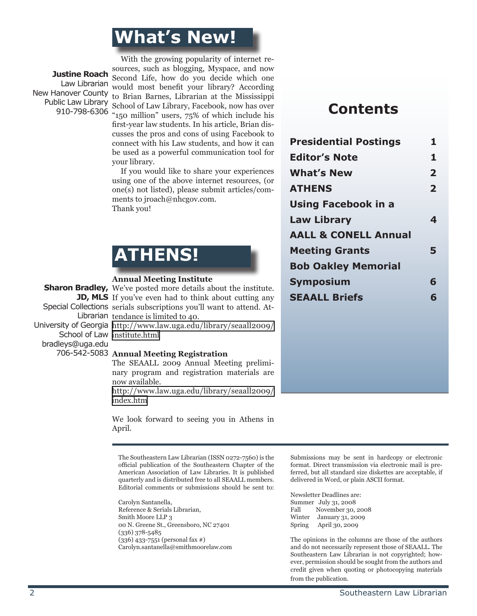### **What's New!**

**Justine Roach** New Hanover County Public Law Library 910-798-6306

 With the growing popularity of internet resources, such as blogging, Myspace, and now Second Life, how do you decide which one Law Librarian would most benefit your library? According to Brian Barnes, Librarian at the Mississippi School of Law Library, Facebook, now has over "150 million" users, 75% of which include his first-year law students. In his article, Brian discusses the pros and cons of using Facebook to connect with his Law students, and how it can be used as a powerful communication tool for your library.

> If you would like to share your experiences using one of the above internet resources, (or one(s) not listed), please submit articles/comments to jroach@nhcgov.com. Thank you!



#### **Annual Meeting Institute**

bradleys@uga.edu

#### **Sharon Bradley,** We've posted more details about the institute. **JD, MLS** If you've even had to think about cutting any Special Collections serials subscriptions you'll want to attend. At-Librarian tendance is limited to 40.

University of Georgia http://www.law.uga.edu/library/seaall2009/ School of Law institute.html

#### 706-542-5083 Annual Meeting Registration

The SEAALL 2009 Annual Meeting preliminary program and registration materials are now available.

http://www.law.uga.edu/library/seaall2009/ index.htm

We look forward to seeing you in Athens in April.

The Southeastern Law Librarian (ISSN 0272-7560) is the official publication of the Southeastern Chapter of the American Association of Law Libraries. It is published quarterly and is distributed free to all SEAALL members. Editorial comments or submissions should be sent to:

Carolyn Santanella, Reference & Serials Librarian, Smith Moore LLP 3 00 N. Greene St., Greensboro, NC 27401 (336) 378-5485 (336) 433-7551 (personal fax #) Carolyn.santanella@smithmoorelaw.com

### **Contents**

| <b>Presidential Postings</b>    | 1              |
|---------------------------------|----------------|
| <b>Editor's Note</b>            | 1              |
| <b>What's New</b>               | $\overline{2}$ |
| <b>ATHENS</b>                   | $\overline{2}$ |
| <b>Using Facebook in a</b>      |                |
| <b>Law Library</b>              | 4              |
| <b>AALL &amp; CONELL Annual</b> |                |
| <b>Meeting Grants</b>           | 5              |
| <b>Bob Oakley Memorial</b>      |                |
| <b>Symposium</b>                | 6              |
| <b>SEAALL Briefs</b>            | 6              |

Submissions may be sent in hardcopy or electronic format. Direct transmission via electronic mail is preferred, but all standard size diskettes are acceptable, if delivered in Word, or plain ASCII format.

Newsletter Deadlines are: Summer July 31, 2008<br>Fall November 30, November 30, 2008 Winter January 31, 2009 Spring April 30, 2009

The opinions in the columns are those of the authors and do not necessarily represent those of SEAALL. The Southeastern Law Librarian is not copyrighted; however, permission should be sought from the authors and credit given when quoting or photocopying materials from the publication.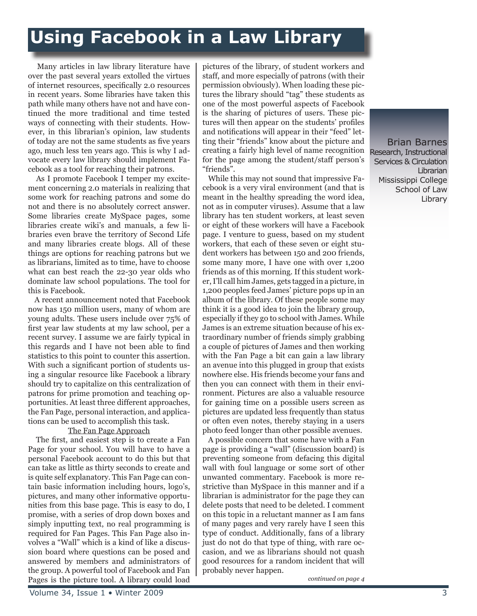### **Using Facebook in a Law Library**

 Many articles in law library literature have over the past several years extolled the virtues of internet resources, specifically 2.0 resources in recent years. Some libraries have taken this path while many others have not and have continued the more traditional and time tested ways of connecting with their students. However, in this librarian's opinion, law students of today are not the same students as five years ago, much less ten years ago. This is why I advocate every law library should implement Facebook as a tool for reaching their patrons.

 As I promote Facebook I temper my excitement concerning 2.0 materials in realizing that some work for reaching patrons and some do not and there is no absolutely correct answer. Some libraries create MySpace pages, some libraries create wiki's and manuals, a few libraries even brave the territory of Second Life and many libraries create blogs. All of these things are options for reaching patrons but we as librarians, limited as to time, have to choose what can best reach the 22-30 year olds who dominate law school populations. The tool for this is Facebook.

 A recent announcement noted that Facebook now has 150 million users, many of whom are young adults. These users include over 75% of first year law students at my law school, per a recent survey. I assume we are fairly typical in this regards and I have not been able to find statistics to this point to counter this assertion. With such a significant portion of students using a singular resource like Facebook a library should try to capitalize on this centralization of patrons for prime promotion and teaching opportunities. At least three different approaches, the Fan Page, personal interaction, and applications can be used to accomplish this task.

#### The Fan Page Approach

 The first, and easiest step is to create a Fan Page for your school. You will have to have a personal Facebook account to do this but that can take as little as thirty seconds to create and is quite self explanatory. This Fan Page can contain basic information including hours, logo's, pictures, and many other informative opportunities from this base page. This is easy to do, I promise, with a series of drop down boxes and simply inputting text, no real programming is required for Fan Pages. This Fan Page also involves a "Wall" which is a kind of like a discussion board where questions can be posed and answered by members and administrators of the group. A powerful tool of Facebook and Fan Pages is the picture tool. A library could load pictures of the library, of student workers and staff, and more especially of patrons (with their permission obviously). When loading these pictures the library should "tag" these students as one of the most powerful aspects of Facebook is the sharing of pictures of users. These pictures will then appear on the students' profiles and notifications will appear in their "feed" letting their "friends" know about the picture and creating a fairly high level of name recognition for the page among the student/staff person's "friends".

 While this may not sound that impressive Facebook is a very viral environment (and that is meant in the healthy spreading the word idea, not as in computer viruses). Assume that a law library has ten student workers, at least seven or eight of these workers will have a Facebook page. I venture to guess, based on my student workers, that each of these seven or eight student workers has between 150 and 200 friends, some many more, I have one with over 1,200 friends as of this morning. If this student worker, I'll call him James, gets tagged in a picture, in 1,200 peoples feed James' picture pops up in an album of the library. Of these people some may think it is a good idea to join the library group, especially if they go to school with James. While James is an extreme situation because of his extraordinary number of friends simply grabbing a couple of pictures of James and then working with the Fan Page a bit can gain a law library an avenue into this plugged in group that exists nowhere else. His friends become your fans and then you can connect with them in their environment. Pictures are also a valuable resource for gaining time on a possible users screen as pictures are updated less frequently than status or often even notes, thereby staying in a users photo feed longer than other possible avenues.

 A possible concern that some have with a Fan page is providing a "wall" (discussion board) is preventing someone from defacing this digital wall with foul language or some sort of other unwanted commentary. Facebook is more restrictive than MySpace in this manner and if a librarian is administrator for the page they can delete posts that need to be deleted. I comment on this topic in a reluctant manner as I am fans of many pages and very rarely have I seen this type of conduct. Additionally, fans of a library just do not do that type of thing, with rare occasion, and we as librarians should not quash good resources for a random incident that will probably never happen.

Brian Barnes Research, Instructional Services & Circulation Librarian Mississippi College School of Law Library

*continued on page 4*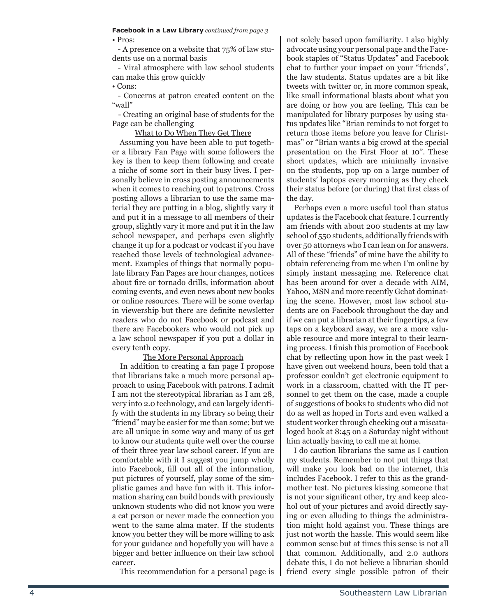### **Facebook in a Law Library** *continued from page 3*

• Pros:

 - A presence on a website that 75% of law students use on a normal basis

 - Viral atmosphere with law school students can make this grow quickly

• Cons:

 - Concerns at patron created content on the "wall"

 - Creating an original base of students for the Page can be challenging

#### What to Do When They Get There

 Assuming you have been able to put together a library Fan Page with some followers the key is then to keep them following and create a niche of some sort in their busy lives. I personally believe in cross posting announcements when it comes to reaching out to patrons. Cross posting allows a librarian to use the same material they are putting in a blog, slightly vary it and put it in a message to all members of their group, slightly vary it more and put it in the law school newspaper, and perhaps even slightly change it up for a podcast or vodcast if you have reached those levels of technological advancement. Examples of things that normally populate library Fan Pages are hour changes, notices about fire or tornado drills, information about coming events, and even news about new books or online resources. There will be some overlap in viewership but there are definite newsletter readers who do not Facebook or podcast and there are Facebookers who would not pick up a law school newspaper if you put a dollar in every tenth copy.

#### The More Personal Approach

 In addition to creating a fan page I propose that librarians take a much more personal approach to using Facebook with patrons. I admit I am not the stereotypical librarian as I am 28, very into 2.0 technology, and can largely identify with the students in my library so being their "friend" may be easier for me than some; but we are all unique in some way and many of us get to know our students quite well over the course of their three year law school career. If you are comfortable with it I suggest you jump wholly into Facebook, fill out all of the information, put pictures of yourself, play some of the simplistic games and have fun with it. This information sharing can build bonds with previously unknown students who did not know you were a cat person or never made the connection you went to the same alma mater. If the students know you better they will be more willing to ask for your guidance and hopefully you will have a bigger and better influence on their law school career.

This recommendation for a personal page is

not solely based upon familiarity. I also highly advocate using your personal page and the Facebook staples of "Status Updates" and Facebook chat to further your impact on your "friends", the law students. Status updates are a bit like tweets with twitter or, in more common speak, like small informational blasts about what you are doing or how you are feeling. This can be manipulated for library purposes by using status updates like "Brian reminds to not forget to return those items before you leave for Christmas" or "Brian wants a big crowd at the special presentation on the First Floor at 10". These short updates, which are minimally invasive on the students, pop up on a large number of students' laptops every morning as they check their status before (or during) that first class of the day.

 Perhaps even a more useful tool than status updates is the Facebook chat feature. I currently am friends with about 200 students at my law school of 550 students, additionally friends with over 50 attorneys who I can lean on for answers. All of these "friends" of mine have the ability to obtain referencing from me when I'm online by simply instant messaging me. Reference chat has been around for over a decade with AIM, Yahoo, MSN and more recently Gchat dominating the scene. However, most law school students are on Facebook throughout the day and if we can put a librarian at their fingertips, a few taps on a keyboard away, we are a more valuable resource and more integral to their learning process. I finish this promotion of Facebook chat by reflecting upon how in the past week I have given out weekend hours, been told that a professor couldn't get electronic equipment to work in a classroom, chatted with the IT personnel to get them on the case, made a couple of suggestions of books to students who did not do as well as hoped in Torts and even walked a student worker through checking out a miscataloged book at 8:45 on a Saturday night without him actually having to call me at home.

 I do caution librarians the same as I caution my students. Remember to not put things that will make you look bad on the internet, this includes Facebook. I refer to this as the grandmother test. No pictures kissing someone that is not your significant other, try and keep alcohol out of your pictures and avoid directly saying or even alluding to things the administration might hold against you. These things are just not worth the hassle. This would seem like common sense but at times this sense is not all that common. Additionally, and 2.0 authors debate this, I do not believe a librarian should friend every single possible patron of their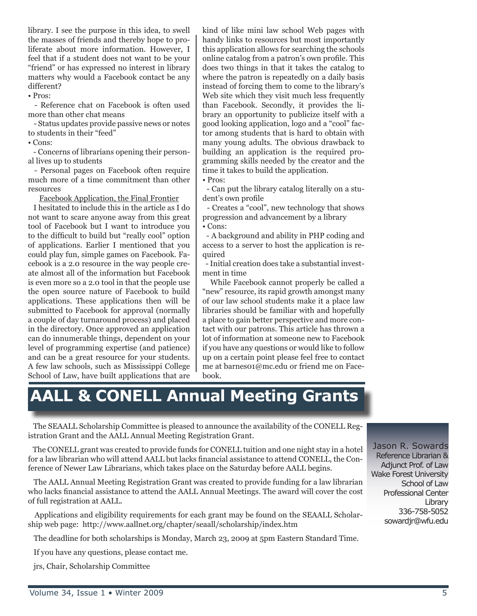library. I see the purpose in this idea, to swell the masses of friends and thereby hope to proliferate about more information. However, I feel that if a student does not want to be your "friend" or has expressed no interest in library matters why would a Facebook contact be any different?

• Pros:

 - Reference chat on Facebook is often used more than other chat means

 - Status updates provide passive news or notes to students in their "feed"

• Cons:

 - Concerns of librarians opening their personal lives up to students

 - Personal pages on Facebook often require much more of a time commitment than other resources

Facebook Application, the Final Frontier

 I hesitated to include this in the article as I do not want to scare anyone away from this great tool of Facebook but I want to introduce you to the difficult to build but "really cool" option of applications. Earlier I mentioned that you could play fun, simple games on Facebook. Facebook is a 2.0 resource in the way people create almost all of the information but Facebook is even more so a 2.0 tool in that the people use the open source nature of Facebook to build applications. These applications then will be submitted to Facebook for approval (normally a couple of day turnaround process) and placed in the directory. Once approved an application can do innumerable things, dependent on your level of programming expertise (and patience) and can be a great resource for your students. A few law schools, such as Mississippi College School of Law, have built applications that are

kind of like mini law school Web pages with handy links to resources but most importantly this application allows for searching the schools online catalog from a patron's own profile. This does two things in that it takes the catalog to where the patron is repeatedly on a daily basis instead of forcing them to come to the library's Web site which they visit much less frequently than Facebook. Secondly, it provides the library an opportunity to publicize itself with a good looking application, logo and a "cool" factor among students that is hard to obtain with many young adults. The obvious drawback to building an application is the required programming skills needed by the creator and the time it takes to build the application.

• Pros:

 - Can put the library catalog literally on a student's own profile

 - Creates a "cool", new technology that shows progression and advancement by a library • Cons:

 - A background and ability in PHP coding and access to a server to host the application is required

 - Initial creation does take a substantial investment in time

 While Facebook cannot properly be called a "new" resource, its rapid growth amongst many of our law school students make it a place law libraries should be familiar with and hopefully a place to gain better perspective and more contact with our patrons. This article has thrown a lot of information at someone new to Facebook if you have any questions or would like to follow up on a certain point please feel free to contact me at barnes01@mc.edu or friend me on Facebook.

### **AALL & CONELL Annual Meeting Grants**

 The SEAALL Scholarship Committee is pleased to announce the availability of the CONELL Registration Grant and the AALL Annual Meeting Registration Grant.

 The CONELL grant was created to provide funds for CONELL tuition and one night stay in a hotel for a law librarian who will attend AALL but lacks financial assistance to attend CONELL, the Conference of Newer Law Librarians, which takes place on the Saturday before AALL begins.

 The AALL Annual Meeting Registration Grant was created to provide funding for a law librarian who lacks financial assistance to attend the AALL Annual Meetings. The award will cover the cost of full registration at AALL.

 Applications and eligibility requirements for each grant may be found on the SEAALL Scholarship web page: http://www.aallnet.org/chapter/seaall/scholarship/index.htm

The deadline for both scholarships is Monday, March 23, 2009 at 5pm Eastern Standard Time.

If you have any questions, please contact me.

jrs, Chair, Scholarship Committee

Jason R. Sowards Reference Librarian & Adjunct Prof. of Law Wake Forest University School of Law Professional Center Library 336-758-5052 sowardjr@wfu.edu